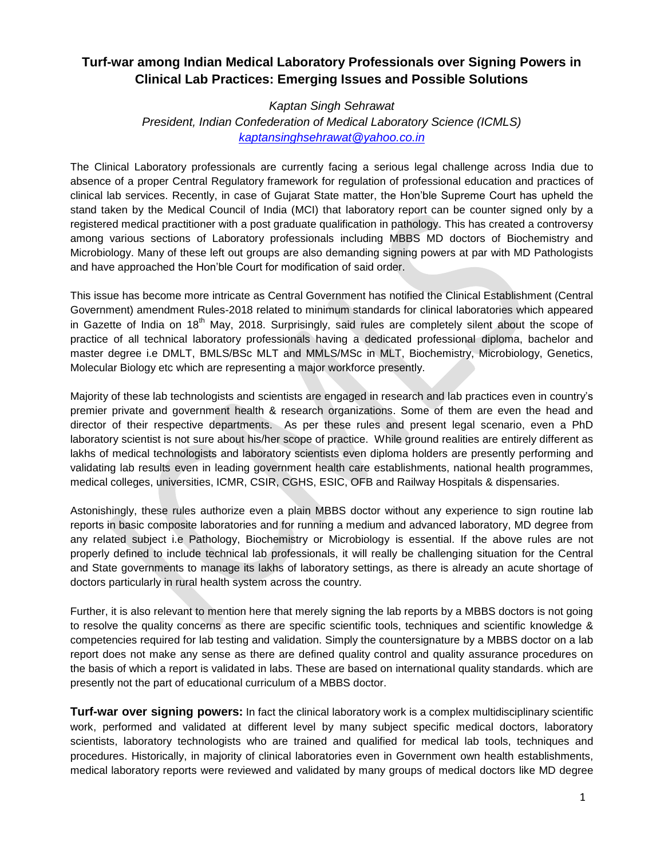# **Turf-war among Indian Medical Laboratory Professionals over Signing Powers in Clinical Lab Practices: Emerging Issues and Possible Solutions**

## *Kaptan Singh Sehrawat President, Indian Confederation of Medical Laboratory Science (ICMLS) [kaptansinghsehrawat@yahoo.co.in](mailto:kaptansinghsehrawat@yahoo.co.in)*

The Clinical Laboratory professionals are currently facing a serious legal challenge across India due to absence of a proper Central Regulatory framework for regulation of professional education and practices of clinical lab services. Recently, in case of Gujarat State matter, the Hon'ble Supreme Court has upheld the stand taken by the Medical Council of India (MCI) that laboratory report can be counter signed only by a registered medical practitioner with a post graduate qualification in pathology. This has created a controversy among various sections of Laboratory professionals including MBBS MD doctors of Biochemistry and Microbiology. Many of these left out groups are also demanding signing powers at par with MD Pathologists and have approached the Hon'ble Court for modification of said order.

This issue has become more intricate as Central Government has notified the Clinical Establishment (Central Government) amendment Rules-2018 related to minimum standards for clinical laboratories which appeared in Gazette of India on 18<sup>th</sup> May, 2018. Surprisingly, said rules are completely silent about the scope of practice of all technical laboratory professionals having a dedicated professional diploma, bachelor and master degree i.e DMLT, BMLS/BSc MLT and MMLS/MSc in MLT, Biochemistry, Microbiology, Genetics, Molecular Biology etc which are representing a major workforce presently.

Majority of these lab technologists and scientists are engaged in research and lab practices even in country's premier private and government health & research organizations. Some of them are even the head and director of their respective departments. As per these rules and present legal scenario, even a PhD laboratory scientist is not sure about his/her scope of practice. While ground realities are entirely different as lakhs of medical technologists and laboratory scientists even diploma holders are presently performing and validating lab results even in leading government health care establishments, national health programmes, medical colleges, universities, ICMR, CSIR, CGHS, ESIC, OFB and Railway Hospitals & dispensaries.

Astonishingly, these rules authorize even a plain MBBS doctor without any experience to sign routine lab reports in basic composite laboratories and for running a medium and advanced laboratory, MD degree from any related subject i.e Pathology, Biochemistry or Microbiology is essential. If the above rules are not properly defined to include technical lab professionals, it will really be challenging situation for the Central and State governments to manage its lakhs of laboratory settings, as there is already an acute shortage of doctors particularly in rural health system across the country.

Further, it is also relevant to mention here that merely signing the lab reports by a MBBS doctors is not going to resolve the quality concerns as there are specific scientific tools, techniques and scientific knowledge & competencies required for lab testing and validation. Simply the countersignature by a MBBS doctor on a lab report does not make any sense as there are defined quality control and quality assurance procedures on the basis of which a report is validated in labs. These are based on international quality standards. which are presently not the part of educational curriculum of a MBBS doctor.

**Turf-war over signing powers:** In fact the clinical laboratory work is a complex multidisciplinary scientific work, performed and validated at different level by many subject specific medical doctors, laboratory scientists, laboratory technologists who are trained and qualified for medical lab tools, techniques and procedures. Historically, in majority of clinical laboratories even in Government own health establishments, medical laboratory reports were reviewed and validated by many groups of medical doctors like MD degree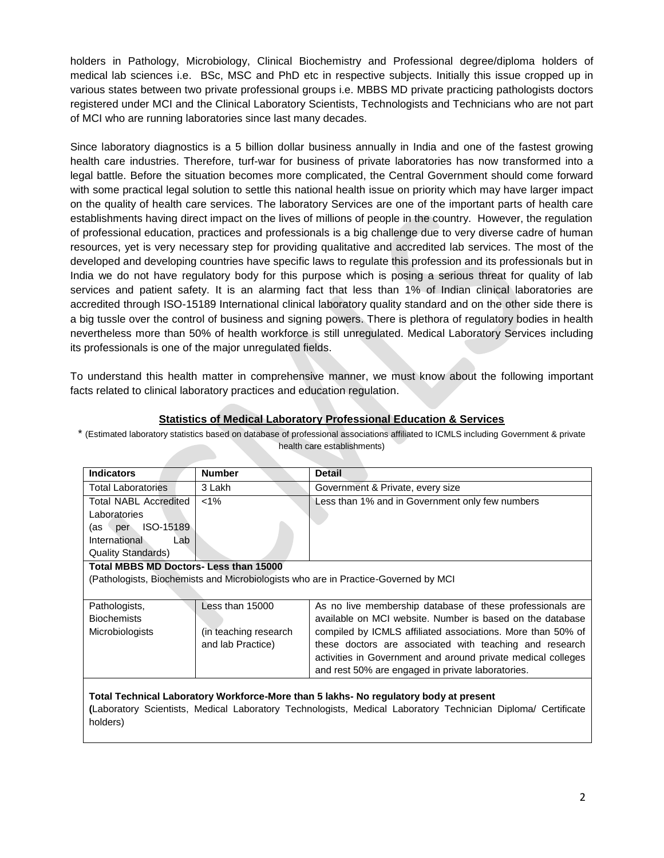holders in Pathology, Microbiology, Clinical Biochemistry and Professional degree/diploma holders of medical lab sciences i.e. BSc, MSC and PhD etc in respective subjects. Initially this issue cropped up in various states between two private professional groups i.e. MBBS MD private practicing pathologists doctors registered under MCI and the Clinical Laboratory Scientists, Technologists and Technicians who are not part of MCI who are running laboratories since last many decades.

Since laboratory diagnostics is a 5 billion dollar business annually in India and one of the fastest growing health care industries. Therefore, turf-war for business of private laboratories has now transformed into a legal battle. Before the situation becomes more complicated, the Central Government should come forward with some practical legal solution to settle this national health issue on priority which may have larger impact on the quality of health care services. The laboratory Services are one of the important parts of health care establishments having direct impact on the lives of millions of people in the country. However, the regulation of professional education, practices and professionals is a big challenge due to very diverse cadre of human resources, yet is very necessary step for providing qualitative and accredited lab services. The most of the developed and developing countries have specific laws to regulate this profession and its professionals but in India we do not have regulatory body for this purpose which is posing a serious threat for quality of lab services and patient safety. It is an alarming fact that less than 1% of Indian clinical laboratories are accredited through ISO-15189 International clinical laboratory quality standard and on the other side there is a big tussle over the control of business and signing powers. There is plethora of regulatory bodies in health nevertheless more than 50% of health workforce is still unregulated. Medical Laboratory Services including its professionals is one of the major unregulated fields.

To understand this health matter in comprehensive manner, we must know about the following important facts related to clinical laboratory practices and education regulation.

### **Statistics of Medical Laboratory Professional Education & Services**

\* (Estimated laboratory statistics based on database of professional associations affiliated to ICMLS including Government & private health care establishments)

| <b>Indicators</b>                                                                                            | <b>Number</b>          | <b>Detail</b>                                                |  |  |
|--------------------------------------------------------------------------------------------------------------|------------------------|--------------------------------------------------------------|--|--|
| Total Laboratories                                                                                           | 3 Lakh                 | Government & Private, every size                             |  |  |
| <b>Total NABL Accredited</b>                                                                                 | $< 1\%$                | Less than 1% and in Government only few numbers              |  |  |
| Laboratories                                                                                                 |                        |                                                              |  |  |
| ISO-15189<br>(as per                                                                                         |                        |                                                              |  |  |
| International<br>Lab                                                                                         |                        |                                                              |  |  |
| <b>Quality Standards)</b>                                                                                    |                        |                                                              |  |  |
| <b>Total MBBS MD Doctors- Less than 15000</b>                                                                |                        |                                                              |  |  |
| (Pathologists, Biochemists and Microbiologists who are in Practice-Governed by MCI)                          |                        |                                                              |  |  |
|                                                                                                              |                        |                                                              |  |  |
| Pathologists,                                                                                                | Less than 15000        | As no live membership database of these professionals are    |  |  |
| <b>Biochemists</b>                                                                                           |                        | available on MCI website. Number is based on the database    |  |  |
| Microbiologists                                                                                              | (in teaching research) | compiled by ICMLS affiliated associations. More than 50% of  |  |  |
|                                                                                                              | and lab Practice)      | these doctors are associated with teaching and research      |  |  |
|                                                                                                              |                        | activities in Government and around private medical colleges |  |  |
|                                                                                                              |                        | and rest 50% are engaged in private laboratories.            |  |  |
|                                                                                                              |                        |                                                              |  |  |
| Total Technical Laboratory Workforce-More than 5 lakhs- No regulatory body at present                        |                        |                                                              |  |  |
| (Laboratory Scientists, Medical Laboratory Technologists, Medical Laboratory Technician Diploma/ Certificate |                        |                                                              |  |  |
| holders)                                                                                                     |                        |                                                              |  |  |
|                                                                                                              |                        |                                                              |  |  |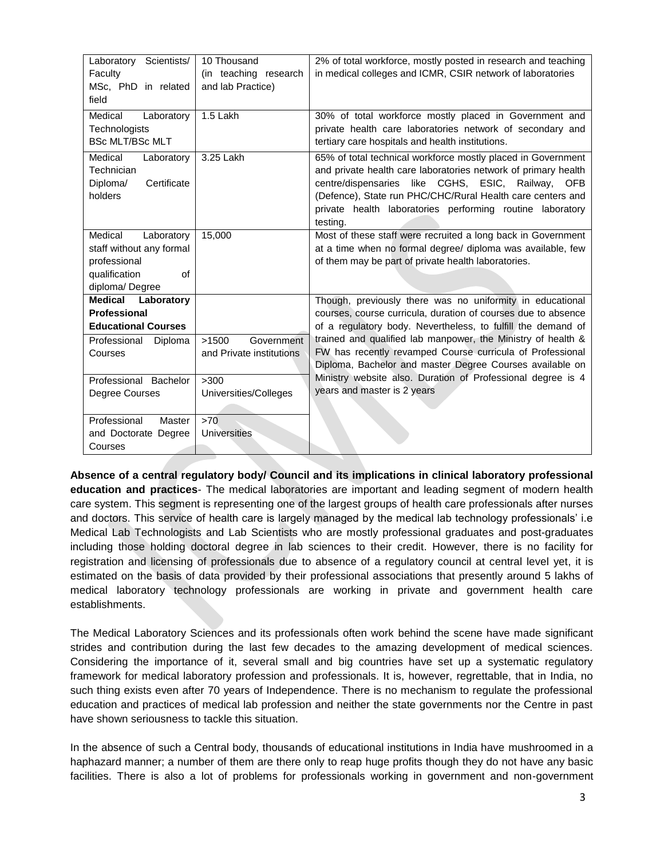| Laboratory Scientists/<br>Faculty<br>MSc, PhD in related<br>field                                          | 10 Thousand<br>(in teaching research<br>and lab Practice) | 2% of total workforce, mostly posted in research and teaching<br>in medical colleges and ICMR, CSIR network of laboratories                                                                                                                                                                                                             |  |
|------------------------------------------------------------------------------------------------------------|-----------------------------------------------------------|-----------------------------------------------------------------------------------------------------------------------------------------------------------------------------------------------------------------------------------------------------------------------------------------------------------------------------------------|--|
| Medical<br>Laboratory<br>Technologists<br><b>BSc MLT/BSc MLT</b>                                           | 1.5 Lakh                                                  | 30% of total workforce mostly placed in Government and<br>private health care laboratories network of secondary and<br>tertiary care hospitals and health institutions.                                                                                                                                                                 |  |
| Medical<br>Laboratory<br>Technician<br>Diploma/<br>Certificate<br>holders                                  | 3.25 Lakh                                                 | 65% of total technical workforce mostly placed in Government<br>and private health care laboratories network of primary health<br>like CGHS, ESIC, Railway,<br>centre/dispensaries<br><b>OFB</b><br>(Defence), State run PHC/CHC/Rural Health care centers and<br>private health laboratories performing routine laboratory<br>testing. |  |
| Medical<br>Laboratory<br>staff without any formal<br>professional<br>qualification<br>of<br>diploma/Degree | 15,000                                                    | Most of these staff were recruited a long back in Government<br>at a time when no formal degree/ diploma was available, few<br>of them may be part of private health laboratories.                                                                                                                                                      |  |
| <b>Medical Laboratory</b>                                                                                  |                                                           | Though, previously there was no uniformity in educational                                                                                                                                                                                                                                                                               |  |
| <b>Professional</b>                                                                                        |                                                           | courses, course curricula, duration of courses due to absence                                                                                                                                                                                                                                                                           |  |
| <b>Educational Courses</b>                                                                                 |                                                           | of a regulatory body. Nevertheless, to fulfill the demand of                                                                                                                                                                                                                                                                            |  |
| Professional<br>Diploma<br>Courses                                                                         | >1500<br>Government<br>and Private institutions           | trained and qualified lab manpower, the Ministry of health &<br>FW has recently revamped Course curricula of Professional<br>Diploma, Bachelor and master Degree Courses available on                                                                                                                                                   |  |
| Professional Bachelor                                                                                      | >300                                                      | Ministry website also. Duration of Professional degree is 4                                                                                                                                                                                                                                                                             |  |
| Degree Courses                                                                                             | Universities/Colleges                                     | years and master is 2 years                                                                                                                                                                                                                                                                                                             |  |
| Professional<br>Master                                                                                     | >70                                                       |                                                                                                                                                                                                                                                                                                                                         |  |
| and Doctorate Degree                                                                                       | Universities                                              |                                                                                                                                                                                                                                                                                                                                         |  |
| Courses                                                                                                    |                                                           |                                                                                                                                                                                                                                                                                                                                         |  |

**Absence of a central regulatory body/ Council and its implications in clinical laboratory professional education and practices**- The medical laboratories are important and leading segment of modern health care system. This segment is representing one of the largest groups of health care professionals after nurses and doctors. This service of health care is largely managed by the medical lab technology professionals' i.e Medical Lab Technologists and Lab Scientists who are mostly professional graduates and post-graduates including those holding doctoral degree in lab sciences to their credit. However, there is no facility for registration and licensing of professionals due to absence of a regulatory council at central level yet, it is estimated on the basis of data provided by their professional associations that presently around 5 lakhs of medical laboratory technology professionals are working in private and government health care establishments.

The Medical Laboratory Sciences and its professionals often work behind the scene have made significant strides and contribution during the last few decades to the amazing development of medical sciences. Considering the importance of it, several small and big countries have set up a systematic regulatory framework for medical laboratory profession and professionals. It is, however, regrettable, that in India, no such thing exists even after 70 years of Independence. There is no mechanism to regulate the professional education and practices of medical lab profession and neither the state governments nor the Centre in past have shown seriousness to tackle this situation.

In the absence of such a Central body, thousands of educational institutions in India have mushroomed in a haphazard manner; a number of them are there only to reap huge profits though they do not have any basic facilities. There is also a lot of problems for professionals working in government and non-government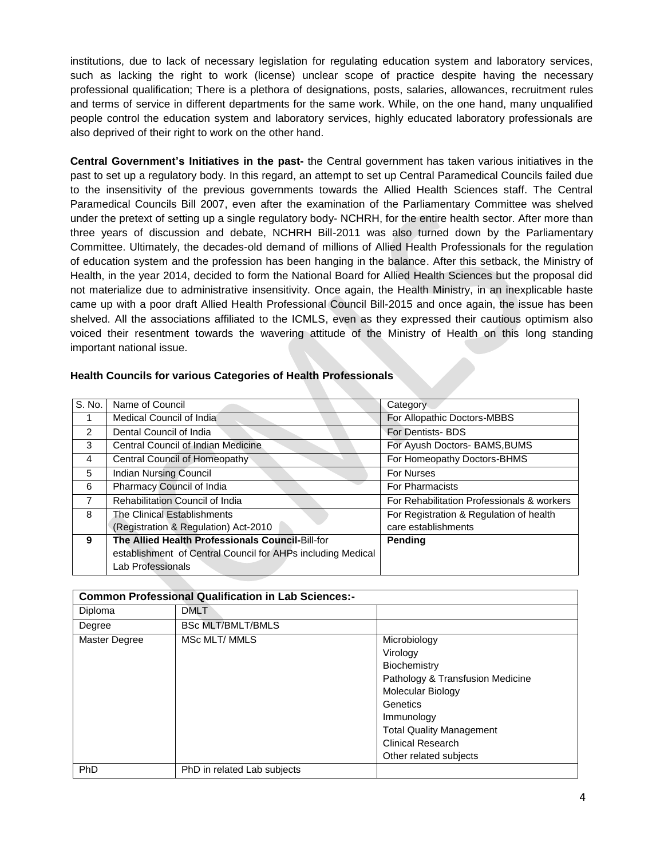institutions, due to lack of necessary legislation for regulating education system and laboratory services, such as lacking the right to work (license) unclear scope of practice despite having the necessary professional qualification; There is a plethora of designations, posts, salaries, allowances, recruitment rules and terms of service in different departments for the same work. While, on the one hand, many unqualified people control the education system and laboratory services, highly educated laboratory professionals are also deprived of their right to work on the other hand.

**Central Government's Initiatives in the past-** the Central government has taken various initiatives in the past to set up a regulatory body. In this regard, an attempt to set up Central Paramedical Councils failed due to the insensitivity of the previous governments towards the Allied Health Sciences staff. The Central Paramedical Councils Bill 2007, even after the examination of the Parliamentary Committee was shelved under the pretext of setting up a single regulatory body- NCHRH, for the entire health sector. After more than three years of discussion and debate, NCHRH Bill-2011 was also turned down by the Parliamentary Committee. Ultimately, the decades-old demand of millions of Allied Health Professionals for the regulation of education system and the profession has been hanging in the balance. After this setback, the Ministry of Health, in the year 2014, decided to form the National Board for Allied Health Sciences but the proposal did not materialize due to administrative insensitivity. Once again, the Health Ministry, in an inexplicable haste came up with a poor draft Allied Health Professional Council Bill-2015 and once again, the issue has been shelved. All the associations affiliated to the ICMLS, even as they expressed their cautious optimism also voiced their resentment towards the wavering attitude of the Ministry of Health on this long standing important national issue.

| S. No.         | Name of Council                                             | Category                                   |
|----------------|-------------------------------------------------------------|--------------------------------------------|
|                | Medical Council of India                                    | For Allopathic Doctors-MBBS                |
| $\mathcal{P}$  | Dental Council of India                                     | <b>For Dentists-BDS</b>                    |
| 3              | Central Council of Indian Medicine                          | For Ayush Doctors- BAMS, BUMS              |
| 4              | Central Council of Homeopathy                               | For Homeopathy Doctors-BHMS                |
| 5              | <b>Indian Nursing Council</b>                               | <b>For Nurses</b>                          |
| 6              | Pharmacy Council of India                                   | <b>For Pharmacists</b>                     |
| $\overline{7}$ | Rehabilitation Council of India                             | For Rehabilitation Professionals & workers |
| 8              | The Clinical Establishments                                 | For Registration & Regulation of health    |
|                | (Registration & Regulation) Act-2010                        | care establishments                        |
| 9              | The Allied Health Professionals Council-Bill-for            | Pending                                    |
|                | establishment of Central Council for AHPs including Medical |                                            |
|                | Lab Professionals                                           |                                            |

### **Health Councils for various Categories of Health Professionals**

| <b>Common Professional Qualification in Lab Sciences:-</b> |                             |                                  |  |
|------------------------------------------------------------|-----------------------------|----------------------------------|--|
| Diploma                                                    | <b>DMLT</b>                 |                                  |  |
| Degree                                                     | <b>BSc MLT/BMLT/BMLS</b>    |                                  |  |
| Master Degree                                              | MSc MLT/ MMLS               | Microbiology                     |  |
|                                                            |                             | Virology                         |  |
|                                                            |                             | Biochemistry                     |  |
|                                                            |                             | Pathology & Transfusion Medicine |  |
|                                                            |                             | Molecular Biology                |  |
|                                                            |                             | Genetics                         |  |
|                                                            |                             | Immunology                       |  |
|                                                            |                             | <b>Total Quality Management</b>  |  |
|                                                            |                             | <b>Clinical Research</b>         |  |
|                                                            |                             | Other related subjects           |  |
| PhD                                                        | PhD in related Lab subjects |                                  |  |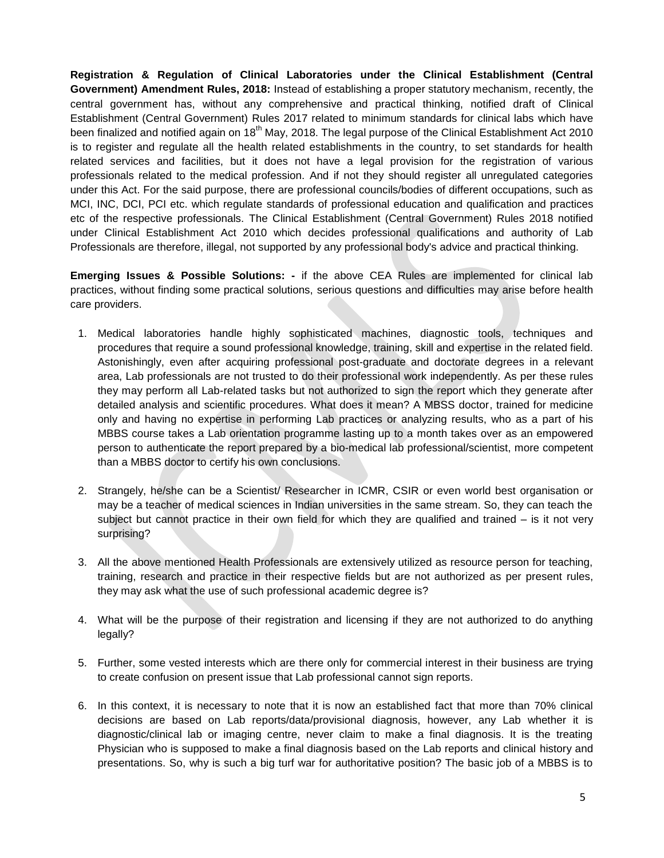**Registration & Regulation of Clinical Laboratories under the Clinical Establishment (Central Government) Amendment Rules, 2018:** Instead of establishing a proper statutory mechanism, recently, the central government has, without any comprehensive and practical thinking, notified draft of Clinical Establishment (Central Government) Rules 2017 related to minimum standards for clinical labs which have been finalized and notified again on 18<sup>th</sup> May, 2018. The legal purpose of the Clinical Establishment Act 2010 is to register and regulate all the health related establishments in the country, to set standards for health related services and facilities, but it does not have a legal provision for the registration of various professionals related to the medical profession. And if not they should register all unregulated categories under this Act. For the said purpose, there are professional councils/bodies of different occupations, such as MCI, INC, DCI, PCI etc. which regulate standards of professional education and qualification and practices etc of the respective professionals. The Clinical Establishment (Central Government) Rules 2018 notified under Clinical Establishment Act 2010 which decides professional qualifications and authority of Lab Professionals are therefore, illegal, not supported by any professional body's advice and practical thinking.

**Emerging Issues & Possible Solutions: -** if the above CEA Rules are implemented for clinical lab practices, without finding some practical solutions, serious questions and difficulties may arise before health care providers.

- 1. Medical laboratories handle highly sophisticated machines, diagnostic tools, techniques and procedures that require a sound professional knowledge, training, skill and expertise in the related field. Astonishingly, even after acquiring professional post-graduate and doctorate degrees in a relevant area, Lab professionals are not trusted to do their professional work independently. As per these rules they may perform all Lab-related tasks but not authorized to sign the report which they generate after detailed analysis and scientific procedures. What does it mean? A MBSS doctor, trained for medicine only and having no expertise in performing Lab practices or analyzing results, who as a part of his MBBS course takes a Lab orientation programme lasting up to a month takes over as an empowered person to authenticate the report prepared by a bio-medical lab professional/scientist, more competent than a MBBS doctor to certify his own conclusions.
- 2. Strangely, he/she can be a Scientist/ Researcher in ICMR, CSIR or even world best organisation or may be a teacher of medical sciences in Indian universities in the same stream. So, they can teach the subject but cannot practice in their own field for which they are qualified and trained – is it not very surprising?
- 3. All the above mentioned Health Professionals are extensively utilized as resource person for teaching, training, research and practice in their respective fields but are not authorized as per present rules, they may ask what the use of such professional academic degree is?
- 4. What will be the purpose of their registration and licensing if they are not authorized to do anything legally?
- 5. Further, some vested interests which are there only for commercial interest in their business are trying to create confusion on present issue that Lab professional cannot sign reports.
- 6. In this context, it is necessary to note that it is now an established fact that more than 70% clinical decisions are based on Lab reports/data/provisional diagnosis, however, any Lab whether it is diagnostic/clinical lab or imaging centre, never claim to make a final diagnosis. It is the treating Physician who is supposed to make a final diagnosis based on the Lab reports and clinical history and presentations. So, why is such a big turf war for authoritative position? The basic job of a MBBS is to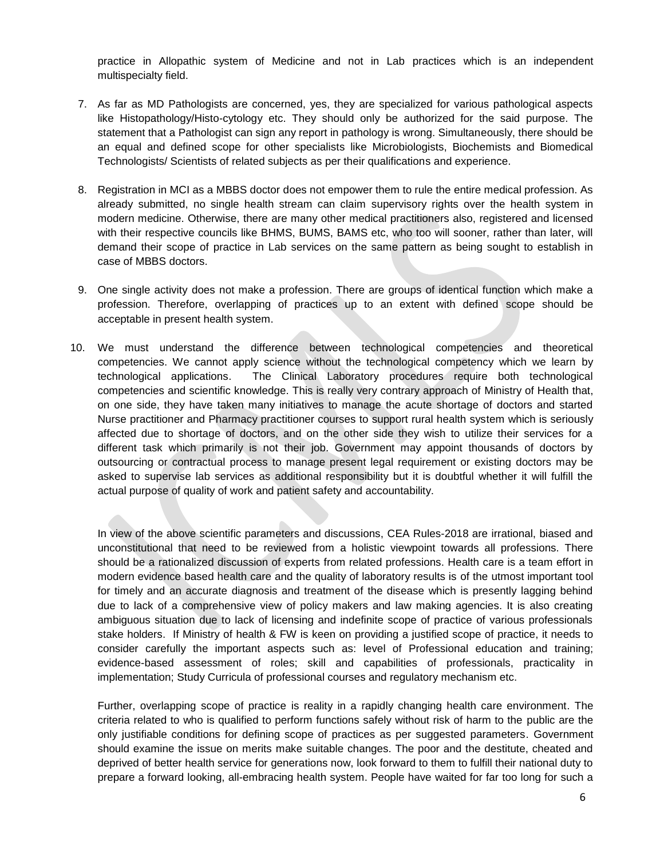practice in Allopathic system of Medicine and not in Lab practices which is an independent multispecialty field.

- 7. As far as MD Pathologists are concerned, yes, they are specialized for various pathological aspects like Histopathology/Histo-cytology etc. They should only be authorized for the said purpose. The statement that a Pathologist can sign any report in pathology is wrong. Simultaneously, there should be an equal and defined scope for other specialists like Microbiologists, Biochemists and Biomedical Technologists/ Scientists of related subjects as per their qualifications and experience.
- 8. Registration in MCI as a MBBS doctor does not empower them to rule the entire medical profession. As already submitted, no single health stream can claim supervisory rights over the health system in modern medicine. Otherwise, there are many other medical practitioners also, registered and licensed with their respective councils like BHMS, BUMS, BAMS etc, who too will sooner, rather than later, will demand their scope of practice in Lab services on the same pattern as being sought to establish in case of MBBS doctors.
- 9. One single activity does not make a profession. There are groups of identical function which make a profession. Therefore, overlapping of practices up to an extent with defined scope should be acceptable in present health system.
- 10. We must understand the difference between technological competencies and theoretical competencies. We cannot apply science without the technological competency which we learn by technological applications. The Clinical Laboratory procedures require both technological competencies and scientific knowledge. This is really very contrary approach of Ministry of Health that, on one side, they have taken many initiatives to manage the acute shortage of doctors and started Nurse practitioner and Pharmacy practitioner courses to support rural health system which is seriously affected due to shortage of doctors, and on the other side they wish to utilize their services for a different task which primarily is not their job. Government may appoint thousands of doctors by outsourcing or contractual process to manage present legal requirement or existing doctors may be asked to supervise lab services as additional responsibility but it is doubtful whether it will fulfill the actual purpose of quality of work and patient safety and accountability.

In view of the above scientific parameters and discussions, CEA Rules-2018 are irrational, biased and unconstitutional that need to be reviewed from a holistic viewpoint towards all professions. There should be a rationalized discussion of experts from related professions. Health care is a team effort in modern evidence based health care and the quality of laboratory results is of the utmost important tool for timely and an accurate diagnosis and treatment of the disease which is presently lagging behind due to lack of a comprehensive view of policy makers and law making agencies. It is also creating ambiguous situation due to lack of licensing and indefinite scope of practice of various professionals stake holders. If Ministry of health & FW is keen on providing a justified scope of practice, it needs to consider carefully the important aspects such as: level of Professional education and training; evidence-based assessment of roles; skill and capabilities of professionals, practicality in implementation; Study Curricula of professional courses and regulatory mechanism etc.

Further, overlapping scope of practice is reality in a rapidly changing health care environment. The criteria related to who is qualified to perform functions safely without risk of harm to the public are the only justifiable conditions for defining scope of practices as per suggested parameters. Government should examine the issue on merits make suitable changes. The poor and the destitute, cheated and deprived of better health service for generations now, look forward to them to fulfill their national duty to prepare a forward looking, all-embracing health system. People have waited for far too long for such a